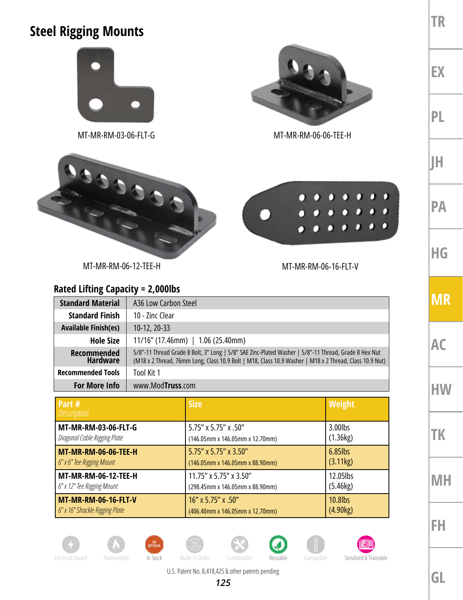## **Steel Rigging Mounts**



MT-MR-RM-03-06-FLT-G MT-MR-RM-06-06-TEE-H



MT-MR-RM-06-12-TEE-H MT-MR-RM-06-16-FLT-V

## **Rated Lifting Capacity = 2,000lbs**

| <b>Standard Material</b>              | A36 Low Carbon Steel                                                                                                                                                                                           |  |
|---------------------------------------|----------------------------------------------------------------------------------------------------------------------------------------------------------------------------------------------------------------|--|
| <b>Standard Finish</b>                | 10 - Zinc Clear                                                                                                                                                                                                |  |
| <b>Available Finish(es)</b>           | 10-12, 20-33                                                                                                                                                                                                   |  |
| <b>Hole Size</b>                      | $11/16$ " (17.46mm)   1.06 (25.40mm)                                                                                                                                                                           |  |
| <b>Recommended</b><br><b>Hardware</b> | 5/8"-11 Thread Grade 8 Bolt, 3" Long   5/8" SAE Zinc-Plated Washer   5/8"-11 Thread, Grade 8 Hex Nut<br>(M18 x 2 Thread, 76mm Long, Class 10.9 Bolt   M18, Class 10.9 Washer   M18 x 2 Thread, Class 10.9 Nut) |  |
| <b>Recommended Tools</b>              | Tool Kit 1                                                                                                                                                                                                     |  |
| <b>For More Info</b>                  | www.ModTruss.com                                                                                                                                                                                               |  |

| Part #<br><b>Description</b>   | <b>Size</b>                     | <b>Weight</b> |
|--------------------------------|---------------------------------|---------------|
| MT-MR-RM-03-06-FLT-G           | 5.75" x 5.75" x .50"            | 3.00lbs       |
| Diagonal Cable Rigging Plate   | (146.05mm x 146.05mm x 12.70mm) | (1.36kg)      |
| <b>MT-MR-RM-06-06-TEE-H</b>    | 5.75" x 5.75" x 3.50"           | $6.85$ lbs    |
| 6" x 6" Tee Rigging Mount      | (146.05mm x 146.05mm x 88.90mm) | (3.11kg)      |
| MT-MR-RM-06-12-TEE-H           | 11.75" x 5.75" x 3.50"          | 12.05lbs      |
| 6" x 12" Tee Rigging Mount     | (298.45mm x 146.05mm x 88.90mm) | (5.46kg)      |
| MT-MR-RM-06-16-FLT-V           | 16" x 5.75" x .50"              | 10.8lbs       |
| 6" x 16" Shackle Rigging Plate | (406.40mm x 146.05mm x 12.70mm) | (4.90kg)      |













Electrical Hazard Flammability In Stock Made To Order Customizable Reusable Compatible Serialized & Traceable

U.S. Patent No. 8,418,425 & other patents pending





**MR AC HW TK MH**

**TR**

**EX**

**PL**

**JH**

**PA**

**HG**

**FH**